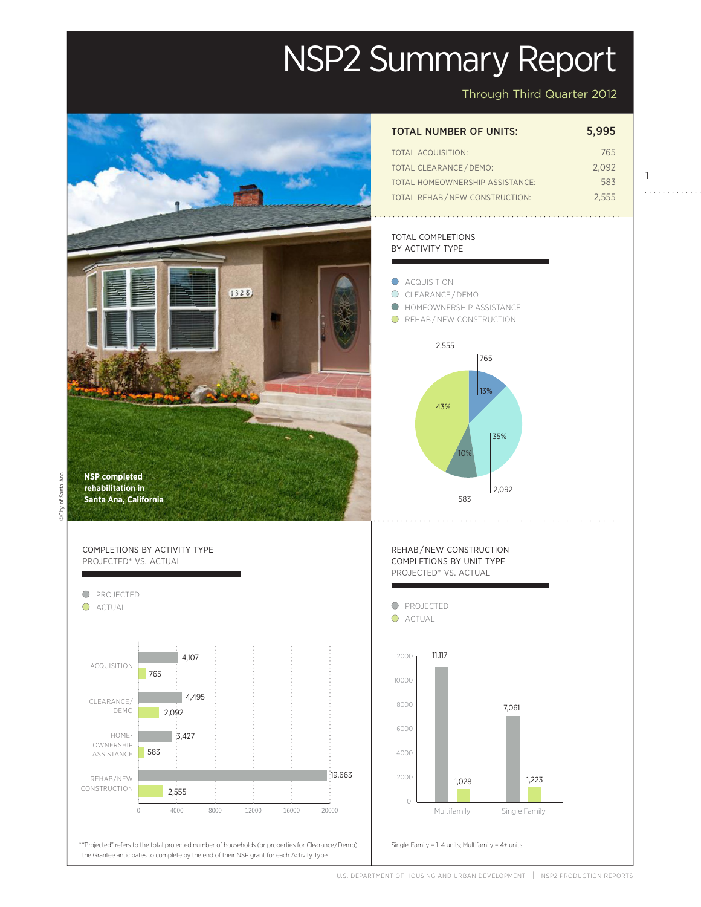# NSP2 Summary Report

Through Third Quarter 2012

1

. . . . . . . . . . . .



| <b>TOTAL NUMBER OF UNITS:</b>   | 5.995 |
|---------------------------------|-------|
| <b>TOTAL ACQUISITION:</b>       | 765   |
| <b>TOTAL CLEARANCE / DEMO:</b>  | 2.092 |
| TOTAL HOMEOWNERSHIP ASSISTANCE: | 583   |
| TOTAL REHAB/NEW CONSTRUCTION:   | 2.555 |

## TOTAL COMPLETIONS BY ACTIVITY TYPE



U.S. DEPARTMENT OF HOUSING AND URBAN DEVELOPMENT | NSP2 PRODUCTION REPORTS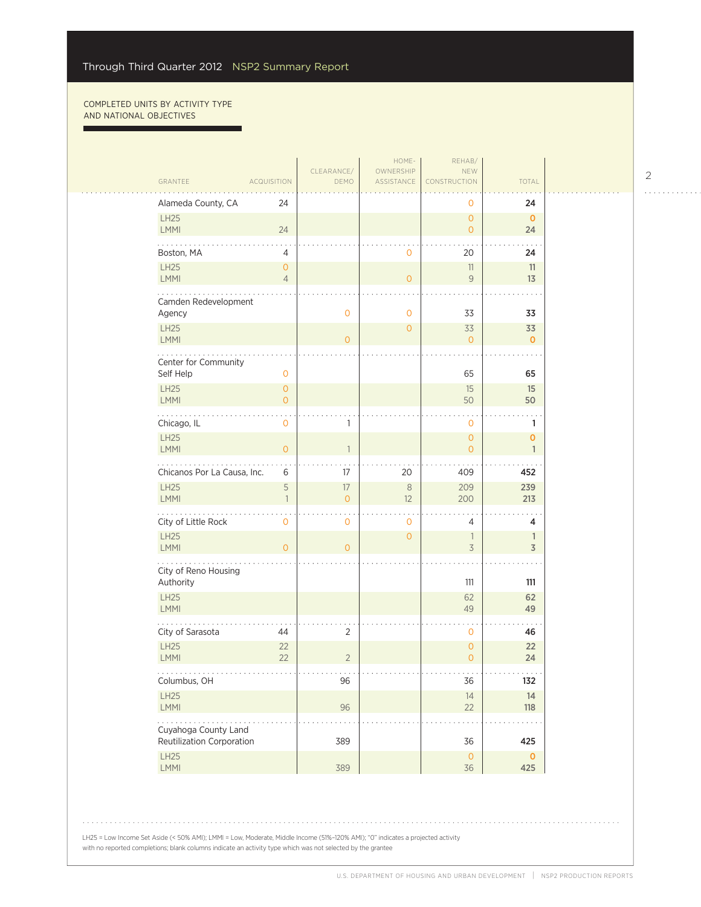г

ù,

|  | GRANTEE                                                | <b>ACQUISITION</b>               | CLEARANCE/<br>DEMO         | HOME-<br>OWNERSHIP<br>ASSISTANCE | REHAB/<br><b>NEW</b><br>CONSTRUCTION  | <b>TOTAL</b>                                                                                                                 |  |
|--|--------------------------------------------------------|----------------------------------|----------------------------|----------------------------------|---------------------------------------|------------------------------------------------------------------------------------------------------------------------------|--|
|  | Alameda County, CA                                     | 24                               |                            |                                  | 0                                     | 24                                                                                                                           |  |
|  | LH25<br><b>LMMI</b>                                    | 24                               |                            |                                  | $\overline{O}$<br>$\overline{O}$      | $\mathbf{0}$<br>24                                                                                                           |  |
|  | Boston, MA                                             | 4                                |                            | 0                                | 20                                    | 24                                                                                                                           |  |
|  | LH25<br>LMMI                                           | $\overline{O}$<br>$\overline{4}$ |                            | $\overline{0}$                   | 11<br>$\mathcal G$                    | 11<br>13                                                                                                                     |  |
|  | Camden Redevelopment<br>Agency                         |                                  | $\mathbf 0$                | 0                                | 33                                    | 33                                                                                                                           |  |
|  | <b>LH25</b><br><b>LMMI</b>                             |                                  | $\overline{0}$             | $\mathbf 0$                      | 33<br>$\overline{O}$                  | 33<br>$\mathbf{0}$                                                                                                           |  |
|  | Center for Community<br>Self Help                      | $\mathbf{O}$                     |                            |                                  | 65                                    | 65                                                                                                                           |  |
|  | LH25<br>LMMI                                           | $\overline{O}$<br>$\overline{O}$ |                            |                                  | 15<br>50                              | 15<br>50                                                                                                                     |  |
|  | .<br>Chicago, IL                                       | $\mathbf 0$                      | 1                          |                                  | $\circ$                               | 1                                                                                                                            |  |
|  | <b>LH25</b><br><b>LMMI</b>                             | $\circ$                          | $\mathbf{1}$               |                                  | $\mathbf{O}$<br>$\overline{0}$        | $\mathbf{O}$<br>$\mathbf{1}$                                                                                                 |  |
|  | Chicanos Por La Causa, Inc.                            | 6                                | 17                         | 20                               | 409                                   | 452                                                                                                                          |  |
|  | <b>LH25</b><br>LMMI                                    | 5<br>$\overline{1}$              | 17<br>$\mathsf{O}\xspace$  | $\,8\,$<br>12                    | 209<br>200                            | 239<br>213                                                                                                                   |  |
|  | City of Little Rock                                    | 0                                | $\mathbf 0$                | 0                                | 4                                     | 4                                                                                                                            |  |
|  | <b>LH25</b><br>LMMI                                    | $\overline{O}$                   | $\overline{O}$             | $\mathsf{O}\xspace$              | 1<br>3                                | $\mathbb{1}$<br>3                                                                                                            |  |
|  | City of Reno Housing<br>Authority                      |                                  |                            |                                  | 111                                   | 111                                                                                                                          |  |
|  | LH25<br>LMMI                                           |                                  |                            |                                  | 62<br>49                              | 62<br>49                                                                                                                     |  |
|  | City of Sarasota                                       | 44                               | $\overline{2}$             |                                  | 0                                     | 46                                                                                                                           |  |
|  | <b>LH25</b><br>LMMI                                    | 22<br>22                         | $\overline{2}$             |                                  | $\mathsf{O}\xspace$<br>$\overline{O}$ | 22<br>24                                                                                                                     |  |
|  | .<br>Columbus, OH                                      |                                  | $\sim$ $\sim$ $\sim$<br>96 |                                  | $\epsilon \rightarrow \infty$<br>36   | $\mathcal{L}^{\mathcal{A}}$ , $\mathcal{L}^{\mathcal{A}}$ , $\mathcal{L}^{\mathcal{A}}$ , $\mathcal{L}^{\mathcal{A}}$<br>132 |  |
|  | LH25<br>LMMI                                           |                                  | 96                         |                                  | 14<br>22                              | 14<br>118                                                                                                                    |  |
|  | .<br>Cuyahoga County Land<br>Reutilization Corporation |                                  | 389                        |                                  | 36                                    | 425                                                                                                                          |  |
|  | LH25<br><b>LMMI</b>                                    |                                  | 389                        |                                  | $\mathsf{O}\xspace$<br>36             | $\mathbf 0$<br>425                                                                                                           |  |

. . . . . . . . . . . .

LH25 = Low Income Set Aside (< 50% AMI); LMMI = Low, Moderate, Middle Income (51%–120% AMI); "0" indicates a projected activity with no reported completions; blank columns indicate an activity type which was not selected by the grantee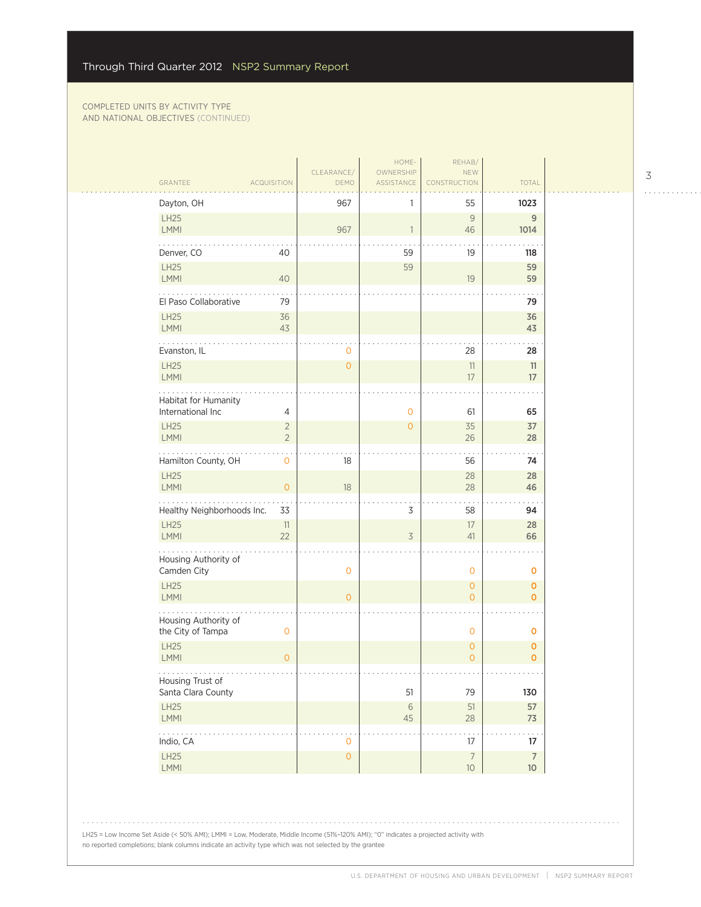| CLEARANCE/<br>OWNERSHIP<br><b>NEW</b>                                                                 |
|-------------------------------------------------------------------------------------------------------|
| GRANTEE<br>DEMO<br>ASSISTANCE<br>CONSTRUCTION<br>TOTAL<br><b>ACQUISITION</b>                          |
| Dayton, OH<br>967<br>55<br>1023                                                                       |
| LH25<br>$\overline{9}$<br>9<br>967<br>LMMI<br>46<br>1014                                              |
| Denver, CO<br>40<br>59<br>118<br>19                                                                   |
| LH25<br>59<br>59<br>LMMI<br>59<br>40<br>19                                                            |
| El Paso Collaborative<br>79<br>79                                                                     |
| <b>LH25</b><br>36<br>36<br>LMMI<br>43<br>43                                                           |
| Evanston, IL<br>28<br>0<br>28                                                                         |
| LH25<br>$\overline{O}$<br>11<br>11<br>LMMI<br>17<br>17                                                |
| Habitat for Humanity                                                                                  |
| International Inc<br>4<br>$\circ$<br>61<br>65                                                         |
| <b>LH25</b><br>35<br>37<br>$\overline{2}$<br>$\circ$<br><b>LMMI</b><br>$\overline{2}$<br>26<br>28     |
| Hamilton County, OH<br>18<br>56<br>74<br>0                                                            |
| <b>LH25</b><br>28<br>28<br>LMMI<br>$\circ$<br>18<br>28<br>46                                          |
| Healthy Neighborhoods Inc.<br>33<br>3<br>58<br>94                                                     |
| LH25<br>17<br>11<br>28<br><b>LMMI</b><br>22<br>41<br>3<br>66                                          |
| Housing Authority of<br>Camden City<br>$\mathbf 0$<br>$\mathbf 0$<br>O                                |
| LH25<br>$\circ$<br>$\mathbf{O}$<br>LMMI<br>$\overline{0}$<br>$\overline{0}$<br>$\mathbf{O}$           |
| Housing Authority of<br>the City of Tampa<br>$\mathbf 0$<br>$\mathbf 0$<br>$\mathbf 0$                |
| <b>LH25</b><br>$\mathbf{O}$<br>$\mathbf 0$<br>LMMI<br>$\overline{O}$<br>$\overline{O}$<br>$\mathbf 0$ |
| Housing Trust of<br>79<br>Santa Clara County<br>51<br>130                                             |
| LH25<br>57<br>$\,$ $\,$ $\,$ $\,$<br>$51\,$<br>LMMI<br>45<br>28<br>73                                 |
| $\mathbb{Z}^2$ . The set of $\mathbb{Z}^2$<br>.<br>Indio, CA<br>17<br>17<br>$\mathbf 0$               |
| LH25<br>$\mathsf{O}\xspace$<br>$\overline{7}$<br>$\overline{7}$<br>LMMI<br>$10$<br>$10\,$             |

LH25 = Low Income Set Aside (< 50% AMI); LMMI = Low, Moderate, Middle Income (51%–120% AMI); "0" indicates a projected activity with no reported completions; blank columns indicate an activity type which was not selected by the grantee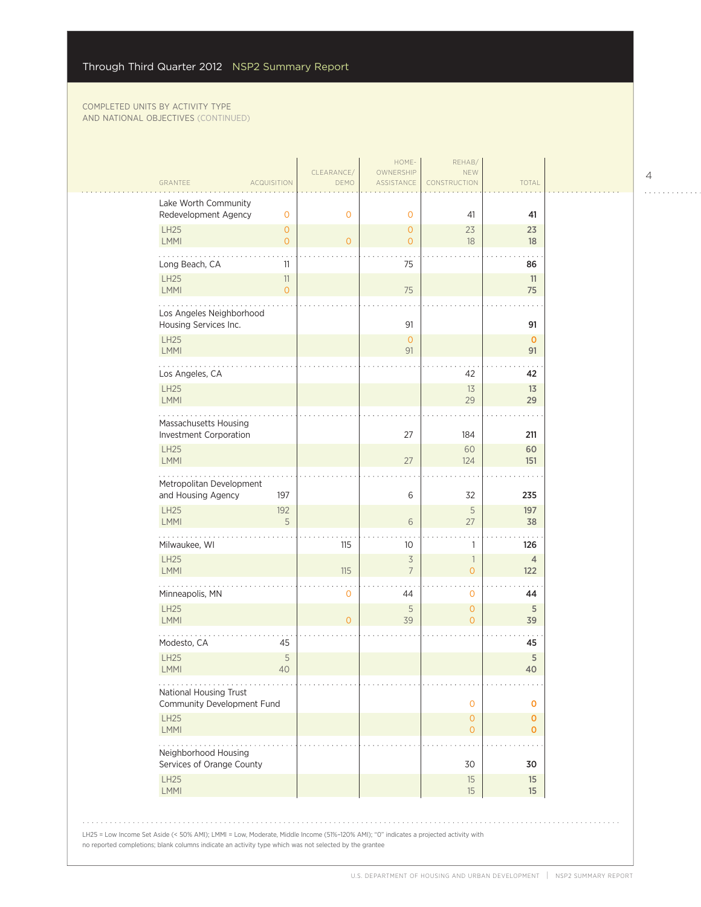| GRANTEE                                              | <b>ACQUISITION</b>               | CLEARANCE/<br>DEMO | HOME-<br>OWNERSHIP<br>ASSISTANCE           | REHAB/<br>NEW<br>CONSTRUCTION    | TOTAL                      |  |
|------------------------------------------------------|----------------------------------|--------------------|--------------------------------------------|----------------------------------|----------------------------|--|
| Lake Worth Community                                 |                                  |                    |                                            |                                  |                            |  |
| Redevelopment Agency                                 | $\mathbf{O}$                     | $\circ$            | $\mathbf{O}$                               | 41                               | 41                         |  |
| <b>LH25</b><br>LMMI                                  | $\overline{O}$<br>$\overline{O}$ | $\overline{O}$     | $\overline{O}$<br>$\overline{O}$           | 23<br>18                         | 23<br>18                   |  |
| Long Beach, CA                                       | 11                               |                    | 75                                         |                                  | 86                         |  |
| <b>LH25</b>                                          | 11                               |                    |                                            |                                  | 11                         |  |
| LMMI                                                 | $\overline{O}$                   |                    | 75                                         |                                  | 75                         |  |
| Los Angeles Neighborhood<br>Housing Services Inc.    |                                  |                    | 91                                         |                                  | 91                         |  |
| <b>LH25</b><br><b>LMMI</b>                           |                                  |                    | $\circ$<br>91                              |                                  | $\mathbf{0}$<br>91         |  |
| Los Angeles, CA                                      |                                  |                    |                                            | 42                               | 42                         |  |
| <b>LH25</b><br>LMMI                                  |                                  |                    |                                            | 13<br>29                         | 13<br>29                   |  |
| Massachusetts Housing                                |                                  |                    |                                            |                                  |                            |  |
| Investment Corporation<br><b>LH25</b>                |                                  |                    | 27                                         | 184<br>60                        | 211<br>60                  |  |
| <b>LMMI</b>                                          |                                  |                    | 27                                         | 124                              | 151                        |  |
| Metropolitan Development<br>and Housing Agency       | 197                              |                    | 6                                          | 32                               | 235                        |  |
| <b>LH25</b>                                          | 192                              |                    |                                            | 5                                | 197                        |  |
| <b>LMMI</b><br>.                                     | 5                                |                    | 6                                          | 27                               | 38                         |  |
| Milwaukee, WI                                        |                                  | 115                | 10                                         | 1                                | 126                        |  |
| <b>LH25</b><br>LMMI                                  |                                  | 115                | $\overline{\mathcal{S}}$<br>$\overline{7}$ | $\overline{1}$<br>$\overline{O}$ | $\overline{4}$<br>122      |  |
| Minneapolis, MN                                      |                                  | $\mathbf 0$        | 44                                         | $\mathbf 0$                      | 44                         |  |
| <b>LH25</b><br>LMMI                                  |                                  | $\overline{O}$     | 5<br>39                                    | $\circ$<br>$\overline{O}$        | 5<br>39                    |  |
| Modesto, CA                                          | 45                               |                    |                                            |                                  | 45                         |  |
| <b>LH25</b><br><b>LMMI</b>                           | 5<br>40                          |                    |                                            |                                  | 5<br>40                    |  |
| National Housing Trust<br>Community Development Fund |                                  |                    |                                            | $\mathbf{O}$                     | $\mathbf 0$                |  |
| <b>LH25</b><br>LMMI                                  |                                  |                    |                                            | $\circ$<br>$\circ$               | $\mathbf 0$<br>$\mathbf 0$ |  |
| Neighborhood Housing                                 |                                  |                    |                                            |                                  |                            |  |
| Services of Orange County                            |                                  |                    |                                            | 30                               | 30                         |  |
| <b>LH25</b><br>LMMI                                  |                                  |                    |                                            | 15<br>$15\,$                     | 15<br>$15\,$               |  |

LH25 = Low Income Set Aside (< 50% AMI); LMMI = Low, Moderate, Middle Income (51%–120% AMI); "0" indicates a projected activity with

no reported completions; blank columns indicate an activity type which was not selected by the grantee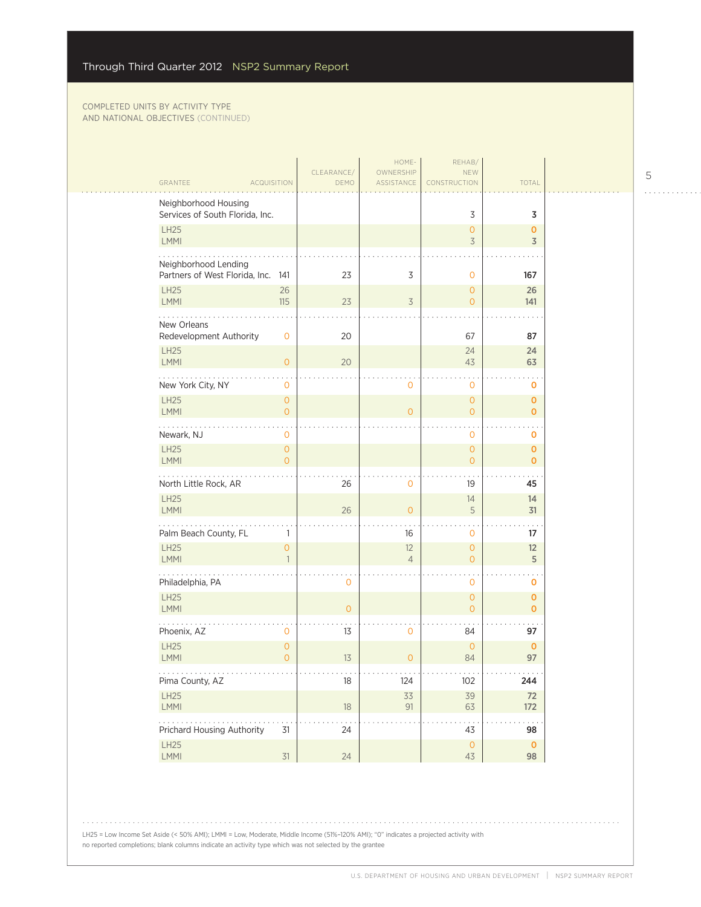| GRANTEE<br><b>ACQUISITION</b>                              |                                    | CLEARANCE/<br>DEMO | HOME-<br>OWNERSHIP<br>ASSISTANCE          | REHAB/<br>NEW<br>CONSTRUCTION            | <b>TOTAL</b>                                           |  |
|------------------------------------------------------------|------------------------------------|--------------------|-------------------------------------------|------------------------------------------|--------------------------------------------------------|--|
| Neighborhood Housing<br>Services of South Florida, Inc.    |                                    |                    |                                           | 3                                        | 3                                                      |  |
| LH25<br>LMMI                                               |                                    |                    |                                           | 0<br>$\overline{3}$                      | $\mathbf 0$<br>3                                       |  |
| Neighborhood Lending<br>Partners of West Florida, Inc. 141 |                                    | 23                 | 3                                         | 0                                        | 167                                                    |  |
| <b>LH25</b><br>LMMI                                        | 26<br>115                          | 23                 | $\overline{3}$                            | 0<br>$\overline{0}$                      | 26<br>141                                              |  |
| .<br>New Orleans<br>Redevelopment Authority                | $\mathbf 0$                        | 20                 |                                           | 67                                       | 87                                                     |  |
| <b>LH25</b><br><b>LMMI</b>                                 | $\circ$                            | 20                 |                                           | 24<br>43                                 | 24<br>63                                               |  |
| New York City, NY<br><b>LH25</b>                           | $\mathbf 0$<br>$\mathsf{O}\xspace$ |                    | 0                                         | 0<br>$\overline{0}$                      | 0<br>0                                                 |  |
| LMMI<br>.<br>Newark, NJ                                    | $\overline{O}$<br>$\mathbf 0$      |                    | $\mathbf{O}$                              | $\overline{0}$<br>0                      | $\mathbf{O}$<br>0                                      |  |
| LH25<br><b>LMMI</b>                                        | $\mathbf{O}$<br>$\Omega$           |                    |                                           | $\overline{0}$<br>$\overline{O}$         | $\mathbf 0$<br>$\overline{0}$                          |  |
| North Little Rock, AR                                      |                                    | 26                 | $\mathbf 0$                               | 19                                       | 45                                                     |  |
| LH25<br><b>LMMI</b>                                        |                                    | 26                 | $\Omega$                                  | 14<br>5                                  | 14<br>31                                               |  |
| .<br>Palm Beach County, FL<br>LH25                         | 1                                  |                    | 16                                        | 0                                        | 17                                                     |  |
| LMMI                                                       | $\mathbf{O}$<br>$\mathbf{1}$       |                    | 12<br>$\overline{4}$                      | 0<br>$\overline{0}$                      | 12<br>5                                                |  |
| Philadelphia, PA<br><b>LH25</b>                            |                                    | $\mathbf 0$        |                                           | 0<br>$\overline{0}$                      | 0<br>$\mathbf 0$                                       |  |
| LMMI                                                       |                                    | $\overline{O}$     |                                           | $\overline{O}$                           | $\overline{0}$                                         |  |
| Phoenix, AZ<br>LH25                                        | 0<br>$\mathbf{O}$                  | 13                 | $\mathbf 0$                               | 84<br>$\overline{0}$                     | 97<br>$\mathbf 0$                                      |  |
| LMMI<br>.                                                  | $\Omega$                           | 13                 | $\mathbf{O}$                              | 84                                       | 97                                                     |  |
| Pima County, AZ<br>LH25                                    |                                    | 18                 | $\alpha \rightarrow -\infty$<br>124<br>33 | $\sim$ $\sim$ $\sim$ $\sim$<br>102<br>39 | $\alpha$ , $\alpha$ , $\alpha$ , $\alpha$<br>244<br>72 |  |
| LMMI<br>.                                                  |                                    | 18                 | 91                                        | 63                                       | 172                                                    |  |
| Prichard Housing Authority                                 | 31                                 | 24                 |                                           | 43                                       | 98                                                     |  |
| LH25<br>LMMI                                               | 31                                 | 24                 |                                           | $\circ$<br>43                            | $\overline{0}$<br>98                                   |  |

LH25 = Low Income Set Aside (< 50% AMI); LMMI = Low, Moderate, Middle Income (51%–120% AMI); "0" indicates a projected activity with no reported completions; blank columns indicate an activity type which was not selected by the grantee